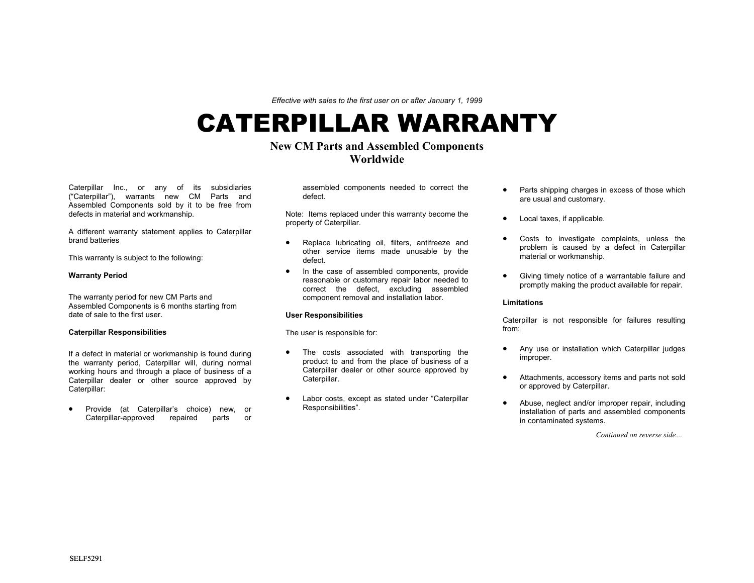*Effective with sales to the first user on or after January 1, 1999* 

# CATERPILLAR WARRANTY

# **New CM Parts and Assembled Components Worldwide**

Caterpillar Inc., or any of its subsidiaries ("Caterpillar"), warrants new CM Parts and Assembled Components sold by it to be free from defects in material and workmanship.

A different warranty statement applies to Caterpillar brand batteries

This warranty is subject to the following:

# **Warranty Period**

The warranty period for new CM Parts and Assembled Components is 6 months starting from date of sale to the first user.

# **Caterpillar Responsibilities**

If a defect in material or workmanship is found during the warranty period, Caterpillar will, during normal working hours and through a place of business of a Caterpillar dealer or other source approved by Caterpillar:

• Provide (at Caterpillar's choice) new, or Caterpillar-approved repaired parts or assembled components needed to correct the defect.

Note: Items replaced under this warranty become the property of Caterpillar.

- Replace lubricating oil, filters, antifreeze and other service items made unusable by the defect.
- In the case of assembled components, provide reasonable or customary repair labor needed to correct the defect, excluding assembled component removal and installation labor.

### **User Responsibilities**

The user is responsible for:

- The costs associated with transporting the product to and from the place of business of a Caterpillar dealer or other source approved by Caterpillar.
- Labor costs, except as stated under "Caterpillar Responsibilities".
- Parts shipping charges in excess of those which are usual and customary.
- Local taxes, if applicable.
- Costs to investigate complaints, unless the problem is caused by a defect in Caterpillar material or workmanship.
- Giving timely notice of a warrantable failure and promptly making the product available for repair.

### **Limitations**

Caterpillar is not responsible for failures resulting from:

- Any use or installation which Caterpillar judges improper.
- Attachments, accessory items and parts not sold or approved by Caterpillar.
- Abuse, neglect and/or improper repair, including installation of parts and assembled components in contaminated systems.

*Continued on reverse side…*